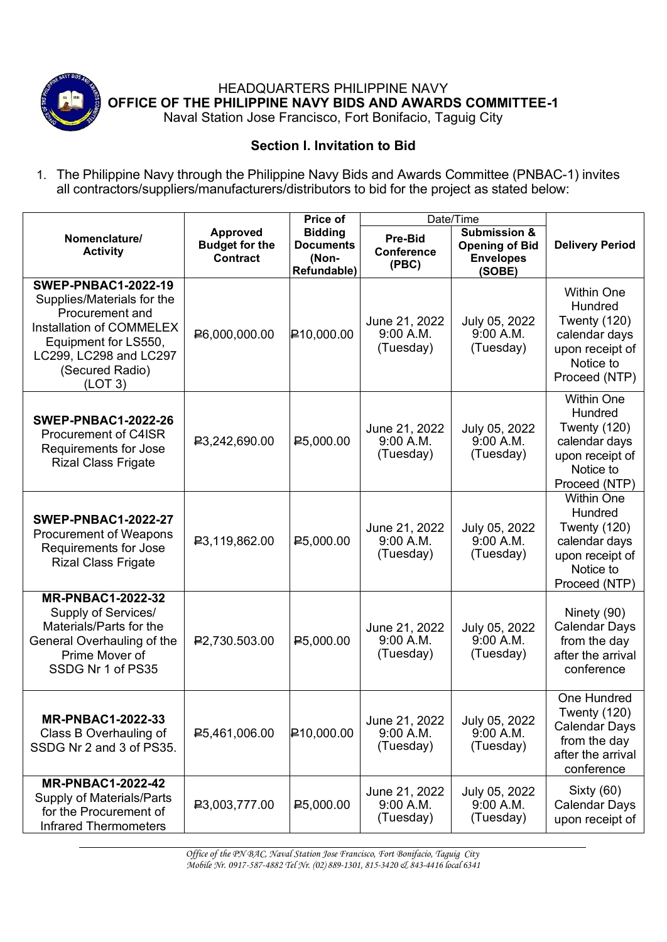

HEADQUARTERS PHILIPPINE NAVY **OFFICE OF THE PHILIPPINE NAVY BIDS AND AWARDS COMMITTEE-1**

## Naval Station Jose Francisco, Fort Bonifacio, Taguig City

## **Section I. Invitation to Bid**

1. The Philippine Navy through the Philippine Navy Bids and Awards Committee (PNBAC-1) invites all contractors/suppliers/manufacturers/distributors to bid for the project as stated below:

|                                                                                                                                                                                                       |                                                             | <b>Price of</b>                                            | Date/Time                                    |                                                                                |                                                                                                                       |
|-------------------------------------------------------------------------------------------------------------------------------------------------------------------------------------------------------|-------------------------------------------------------------|------------------------------------------------------------|----------------------------------------------|--------------------------------------------------------------------------------|-----------------------------------------------------------------------------------------------------------------------|
| Nomenclature/<br><b>Activity</b>                                                                                                                                                                      | <b>Approved</b><br><b>Budget for the</b><br><b>Contract</b> | <b>Bidding</b><br><b>Documents</b><br>(Non-<br>Refundable) | <b>Pre-Bid</b><br><b>Conference</b><br>(PBC) | <b>Submission &amp;</b><br><b>Opening of Bid</b><br><b>Envelopes</b><br>(SOBE) | <b>Delivery Period</b>                                                                                                |
| <b>SWEP-PNBAC1-2022-19</b><br>Supplies/Materials for the<br><b>Procurement and</b><br><b>Installation of COMMELEX</b><br>Equipment for LS550,<br>LC299, LC298 and LC297<br>(Secured Radio)<br>(LOT 3) | ₽6,000,000.00                                               | $\big $ <b>₽</b> 10,000.00                                 | June 21, 2022<br>9:00 A.M.<br>(Tuesday)      | July 05, 2022<br>9:00 A.M.<br>(Tuesday)                                        | <b>Within One</b><br><b>Hundred</b><br>Twenty (120)<br>calendar days<br>upon receipt of<br>Notice to<br>Proceed (NTP) |
| <b>SWEP-PNBAC1-2022-26</b><br><b>Procurement of C4ISR</b><br>Requirements for Jose<br><b>Rizal Class Frigate</b>                                                                                      | ₽3,242,690.00                                               | ₽5,000.00                                                  | June 21, 2022<br>9:00 A.M.<br>(Tuesday)      | July 05, 2022<br>9:00 A.M.<br>(Tuesday)                                        | <b>Within One</b><br>Hundred<br>Twenty (120)<br>calendar days<br>upon receipt of<br>Notice to<br>Proceed (NTP)        |
| <b>SWEP-PNBAC1-2022-27</b><br><b>Procurement of Weapons</b><br>Requirements for Jose<br><b>Rizal Class Frigate</b>                                                                                    | <b>₽3,119,862.00</b>                                        | P5,000.00                                                  | June 21, 2022<br>9:00 A.M.<br>(Tuesday)      | July 05, 2022<br>9:00 A.M.<br>(Tuesday)                                        | <b>Within One</b><br>Hundred<br>Twenty (120)<br>calendar days<br>upon receipt of<br>Notice to<br>Proceed (NTP)        |
| <b>MR-PNBAC1-2022-32</b><br>Supply of Services/<br>Materials/Parts for the<br>General Overhauling of the<br>Prime Mover of<br>SSDG Nr 1 of PS35                                                       | ₽2,730.503.00                                               | ₽5,000.00                                                  | June 21, 2022<br>9:00 A.M.<br>(Tuesday)      | July 05, 2022<br>9:00 A.M.<br>(Tuesday)                                        | Ninety (90)<br><b>Calendar Days</b><br>from the day<br>after the arrival<br>conference                                |
| <b>MR-PNBAC1-2022-33</b><br>Class B Overhauling of<br>SSDG Nr 2 and 3 of PS35.                                                                                                                        | ₽5,461,006.00                                               | $\big $ <b>₽</b> 10,000.00                                 | June 21, 2022<br>9:00 A.M.<br>(Tuesday)      | July 05, 2022<br>9:00 A.M.<br>(Tuesday)                                        | One Hundred<br>Twenty (120)<br><b>Calendar Days</b><br>from the day<br>after the arrival<br>conference                |
| <b>MR-PNBAC1-2022-42</b><br>Supply of Materials/Parts<br>for the Procurement of<br><b>Infrared Thermometers</b>                                                                                       | ₽3,003,777.00                                               | $E$ 5,000.00                                               | June 21, 2022<br>9:00 A.M.<br>(Tuesday)      | July 05, 2022<br>9:00 A.M.<br>(Tuesday)                                        | Sixty (60)<br><b>Calendar Days</b><br>upon receipt of                                                                 |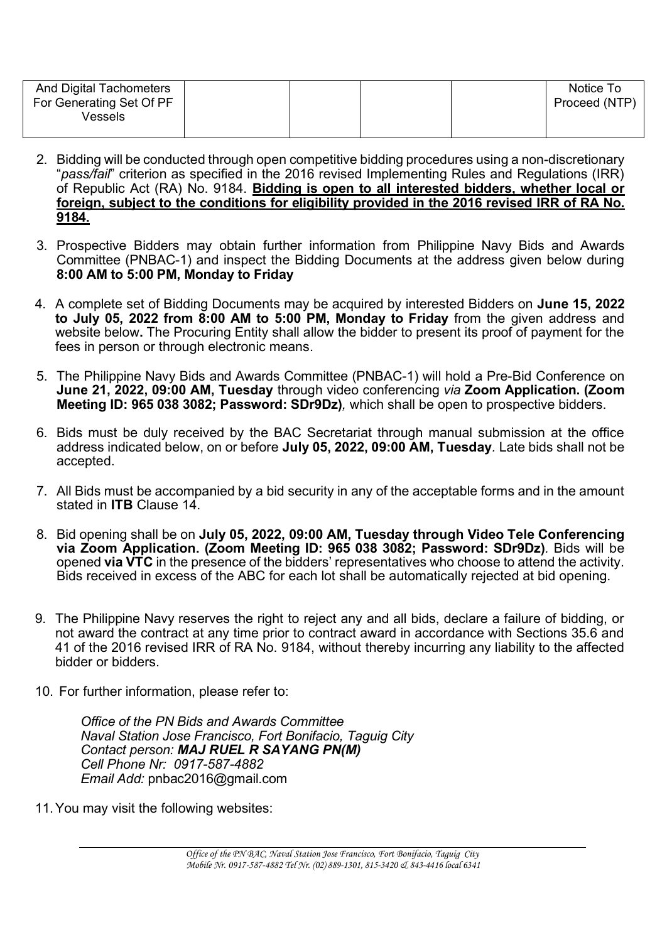| And Digital Tachometers  |  |  | Notice To     |
|--------------------------|--|--|---------------|
| For Generating Set Of PF |  |  | Proceed (NTP) |
| Vessels                  |  |  |               |
|                          |  |  |               |

- 2. Bidding will be conducted through open competitive bidding procedures using a non-discretionary "*pass/fail*" criterion as specified in the 2016 revised Implementing Rules and Regulations (IRR) of Republic Act (RA) No. 9184. **Bidding is open to all interested bidders, whether local or foreign, subject to the conditions for eligibility provided in the 2016 revised IRR of RA No. 9184.**
- 3. Prospective Bidders may obtain further information from Philippine Navy Bids and Awards Committee (PNBAC-1) and inspect the Bidding Documents at the address given below during **8:00 AM to 5:00 PM, Monday to Friday**
- 4. A complete set of Bidding Documents may be acquired by interested Bidders on **June 15, 2022 to July 05, 2022 from 8:00 AM to 5:00 PM, Monday to Friday** from the given address and website below**.** The Procuring Entity shall allow the bidder to present its proof of payment for the fees in person or through electronic means.
- 5. The Philippine Navy Bids and Awards Committee (PNBAC-1) will hold a Pre-Bid Conference on **June 21, 2022, 09:00 AM, Tuesday** through video conferencing *via* **Zoom Application. (Zoom Meeting ID: 965 038 3082; Password: SDr9Dz)***,* which shall be open to prospective bidders.
- 6. Bids must be duly received by the BAC Secretariat through manual submission at the office address indicated below, on or before **July 05, 2022, 09:00 AM, Tuesday***.* Late bids shall not be accepted.
- 7. All Bids must be accompanied by a bid security in any of the acceptable forms and in the amount stated in **ITB** Clause 14.
- 8. Bid opening shall be on **July 05, 2022, 09:00 AM, Tuesday through Video Tele Conferencing via Zoom Application. (Zoom Meeting ID: 965 038 3082; Password: SDr9Dz)***.* Bids will be opened **via VTC** in the presence of the bidders' representatives who choose to attend the activity. Bids received in excess of the ABC for each lot shall be automatically rejected at bid opening.
- 9. The Philippine Navy reserves the right to reject any and all bids, declare a failure of bidding, or not award the contract at any time prior to contract award in accordance with Sections 35.6 and 41 of the 2016 revised IRR of RA No. 9184, without thereby incurring any liability to the affected bidder or bidders.
- 10. For further information, please refer to:

*Office of the PN Bids and Awards Committee Naval Station Jose Francisco, Fort Bonifacio, Taguig City Contact person: MAJ RUEL R SAYANG PN(M) Cell Phone Nr: 0917-587-4882 Email Add:* pnbac2016@gmail.com

11.You may visit the following websites: